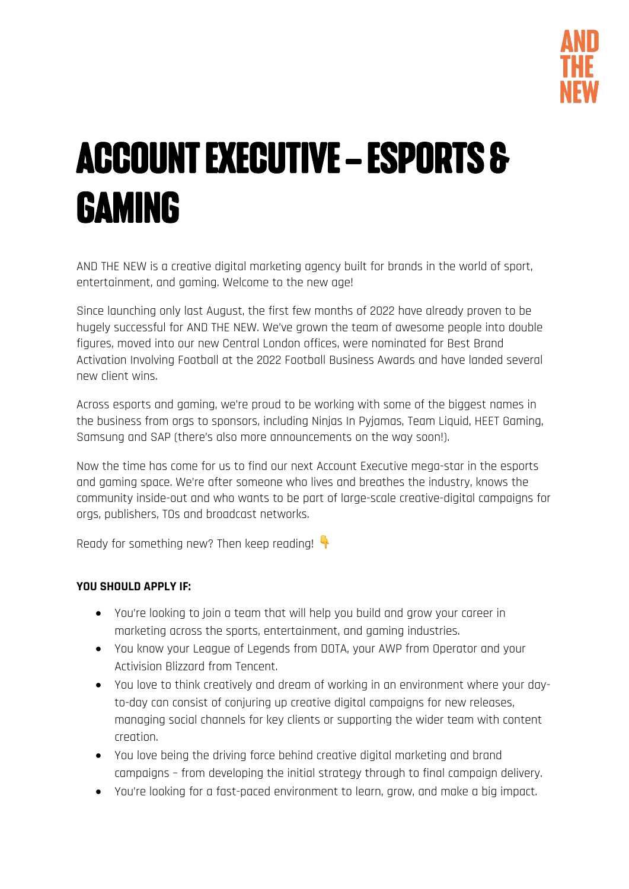

# ACCOUNT EXECUTIVE – ESPORTS & GAMING

AND THE NEW is a creative digital marketing agency built for brands in the world of sport, entertainment, and gaming. Welcome to the new age!

Since launching only last August, the first few months of 2022 have already proven to be hugely successful for AND THE NEW. We've grown the team of awesome people into double figures, moved into our new Central London offices, were nominated for Best Brand Activation Involving Football at the 2022 Football Business Awards and have landed several new client wins.

Across esports and gaming, we're proud to be working with some of the biggest names in the business from orgs to sponsors, including Ninjas In Pyjamas, Team Liquid, HEET Gaming, Samsung and SAP (there's also more announcements on the way soon!).

Now the time has come for us to find our next Account Executive mega-star in the esports and gaming space. We're after someone who lives and breathes the industry, knows the community inside-out and who wants to be part of large-scale creative-digital campaigns for orgs, publishers, TOs and broadcast networks.

Ready for something new? Then keep reading!

#### **YOU SHOULD APPLY IF:**

- You're looking to join a team that will help you build and grow your career in marketing across the sports, entertainment, and gaming industries.
- You know your League of Legends from DOTA, your AWP from Operator and your Activision Blizzard from Tencent.
- You love to think creatively and dream of working in an environment where your dayto-day can consist of conjuring up creative digital campaigns for new releases, managing social channels for key clients or supporting the wider team with content creation.
- You love being the driving force behind creative digital marketing and brand campaigns – from developing the initial strategy through to final campaign delivery.
- You're looking for a fast-paced environment to learn, grow, and make a big impact.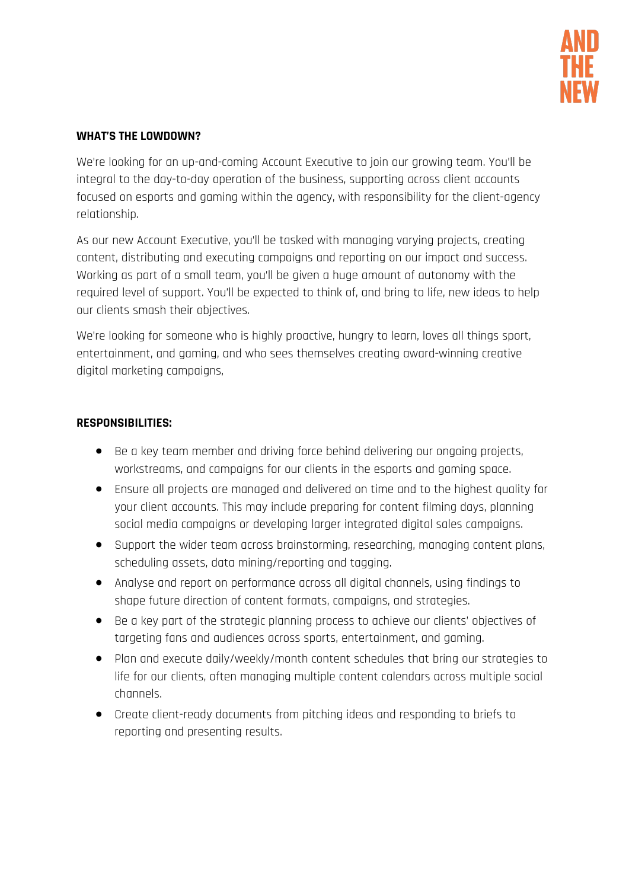

#### **WHAT'S THE LOWDOWN?**

We're looking for an up-and-coming Account Executive to join our growing team. You'll be integral to the day-to-day operation of the business, supporting across client accounts focused on esports and gaming within the agency, with responsibility for the client-agency relationship.

As our new Account Executive, you'll be tasked with managing varying projects, creating content, distributing and executing campaigns and reporting on our impact and success. Working as part of a small team, you'll be given a huge amount of autonomy with the required level of support. You'll be expected to think of, and bring to life, new ideas to help our clients smash their objectives.

We're looking for someone who is highly proactive, hungry to learn, loves all things sport, entertainment, and gaming, and who sees themselves creating award-winning creative digital marketing campaigns,

#### **RESPONSIBILITIES:**

- Be a key team member and driving force behind delivering our ongoing projects, workstreams, and campaigns for our clients in the esports and gaming space.
- Ensure all projects are managed and delivered on time and to the highest quality for your client accounts. This may include preparing for content filming days, planning social media campaigns or developing larger integrated digital sales campaigns.
- Support the wider team across brainstorming, researching, managing content plans, scheduling assets, data mining/reporting and tagging.
- Analyse and report on performance across all digital channels, using findings to shape future direction of content formats, campaigns, and strategies.
- Be a key part of the strategic planning process to achieve our clients' objectives of targeting fans and audiences across sports, entertainment, and gaming.
- Plan and execute daily/weekly/month content schedules that bring our strategies to life for our clients, often managing multiple content calendars across multiple social channels.
- Create client-ready documents from pitching ideas and responding to briefs to reporting and presenting results.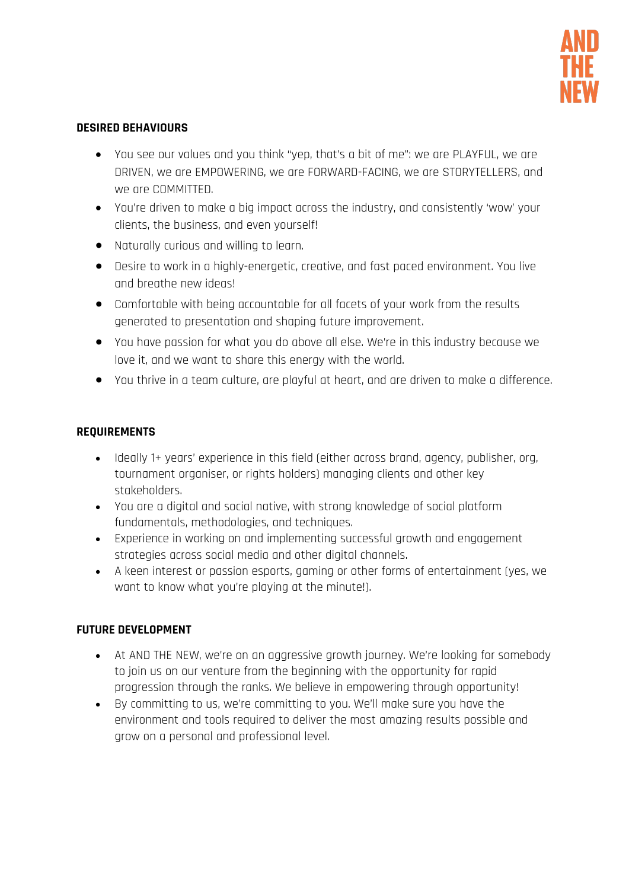

#### **DESIRED BEHAVIOURS**

- You see our values and you think "yep, that's a bit of me": we are PLAYFUL, we are DRIVEN, we are EMPOWERING, we are FORWARD-FACING, we are STORYTELLERS, and we are COMMITTED.
- You're driven to make a big impact across the industry, and consistently 'wow' your clients, the business, and even yourself!
- Naturally curious and willing to learn.
- Desire to work in a highly-energetic, creative, and fast paced environment. You live and breathe new ideas!
- Comfortable with being accountable for all facets of your work from the results generated to presentation and shaping future improvement.
- You have passion for what you do above all else. We're in this industry because we love it, and we want to share this energy with the world.
- You thrive in a team culture, are playful at heart, and are driven to make a difference.

### **REQUIREMENTS**

- Ideally 1+ years' experience in this field (either across brand, agency, publisher, org, tournament organiser, or rights holders) managing clients and other key stakeholders.
- You are a digital and social native, with strong knowledge of social platform fundamentals, methodologies, and techniques.
- Experience in working on and implementing successful growth and engagement strategies across social media and other digital channels.
- A keen interest or passion esports, gaming or other forms of entertainment (yes, we want to know what you're playing at the minute!).

## **FUTURE DEVELOPMENT**

- At AND THE NEW, we're on an aggressive growth journey. We're looking for somebody to join us on our venture from the beginning with the opportunity for rapid progression through the ranks. We believe in empowering through opportunity!
- By committing to us, we're committing to you. We'll make sure you have the environment and tools required to deliver the most amazing results possible and grow on a personal and professional level.